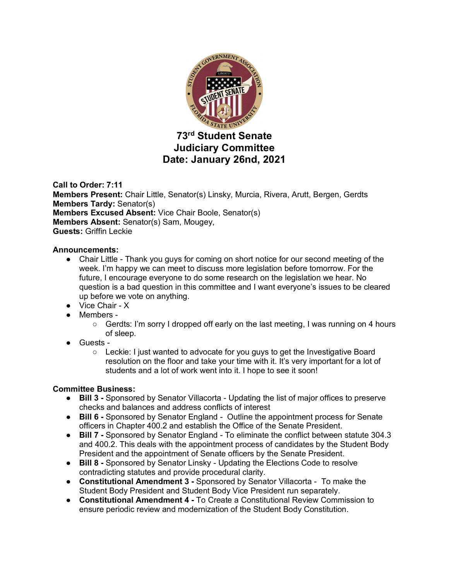

# **Judiciary Committee Date: January 26nd, 2021**

**Call to Order: 7:11 Members Present:** Chair Little, Senator(s) Linsky, Murcia, Rivera, Arutt, Bergen, Gerdts **Members Tardy:** Senator(s) **Members Excused Absent:** Vice Chair Boole, Senator(s) **Members Absent:** Senator(s) Sam, Mougey, **Guests:** Griffin Leckie

# **Announcements:**

- Chair Little Thank you guys for coming on short notice for our second meeting of the week. I'm happy we can meet to discuss more legislation before tomorrow. For the future, I encourage everyone to do some research on the legislation we hear. No question is a bad question in this committee and I want everyone's issues to be cleared up before we vote on anything.
- Vice Chair X
- Members
	- $\circ$  Gerdts: I'm sorry I dropped off early on the last meeting, I was running on 4 hours of sleep.
- Guests
	- Leckie: I just wanted to advocate for you guys to get the Investigative Board resolution on the floor and take your time with it. It's very important for a lot of students and a lot of work went into it. I hope to see it soon!

# **Committee Business:**

- **Bill 3** Sponsored by Senator Villacorta Updating the list of major offices to preserve checks and balances and address conflicts of interest
- **Bill 6** Sponsored by Senator England Outline the appointment process for Senate officers in Chapter 400.2 and establish the Office of the Senate President.
- **Bill 7 -** Sponsored by Senator England To eliminate the conflict between statute 304.3 and 400.2. This deals with the appointment process of candidates by the Student Body President and the appointment of Senate officers by the Senate President.
- **Bill 8 -** Sponsored by Senator Linsky Updating the Elections Code to resolve contradicting statutes and provide procedural clarity.
- **Constitutional Amendment 3 -** Sponsored by Senator Villacorta To make the Student Body President and Student Body Vice President run separately.
- **Constitutional Amendment 4 -** To Create a Constitutional Review Commission to ensure periodic review and modernization of the Student Body Constitution.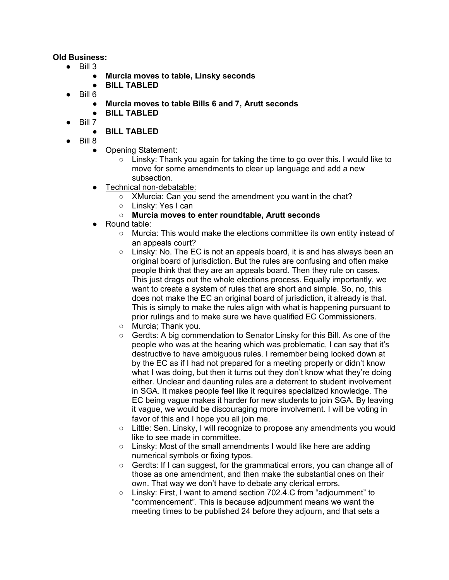#### **Old Business:**

- $\bullet$  Bill 3
	- **Murcia moves to table, Linsky seconds**
	- **BILL TABLED**
	- Bill 6
		- **Murcia moves to table Bills 6 and 7, Arutt seconds**
		- **BILL TABLED**
	- Bill 7

# ● **BILL TABLED**

- Bill 8
	- Opening Statement:
		- Linsky: Thank you again for taking the time to go over this. I would like to move for some amendments to clear up language and add a new subsection.
	- Technical non-debatable:
		- XMurcia: Can you send the amendment you want in the chat?
		- Linsky: Yes I can
		- **Murcia moves to enter roundtable, Arutt seconds**
	- Round table:
		- Murcia: This would make the elections committee its own entity instead of an appeals court?
		- $\circ$  Linsky: No. The EC is not an appeals board, it is and has always been an original board of jurisdiction. But the rules are confusing and often make people think that they are an appeals board. Then they rule on cases. This just drags out the whole elections process. Equally importantly, we want to create a system of rules that are short and simple. So, no, this does not make the EC an original board of jurisdiction, it already is that. This is simply to make the rules align with what is happening pursuant to prior rulings and to make sure we have qualified EC Commissioners.
		- Murcia; Thank you.
		- Gerdts: A big commendation to Senator Linsky for this Bill. As one of the people who was at the hearing which was problematic, I can say that it's destructive to have ambiguous rules. I remember being looked down at by the EC as if I had not prepared for a meeting properly or didn't know what I was doing, but then it turns out they don't know what they're doing either. Unclear and daunting rules are a deterrent to student involvement in SGA. It makes people feel like it requires specialized knowledge. The EC being vague makes it harder for new students to join SGA. By leaving it vague, we would be discouraging more involvement. I will be voting in favor of this and I hope you all join me.
		- Little: Sen. Linsky, I will recognize to propose any amendments you would like to see made in committee.
		- Linsky: Most of the small amendments I would like here are adding numerical symbols or fixing typos.
		- Gerdts: If I can suggest, for the grammatical errors, you can change all of those as one amendment, and then make the substantial ones on their own. That way we don't have to debate any clerical errors.
		- Linsky: First, I want to amend section 702.4.C from "adjournment" to "commencement". This is because adjournment means we want the meeting times to be published 24 before they adjourn, and that sets a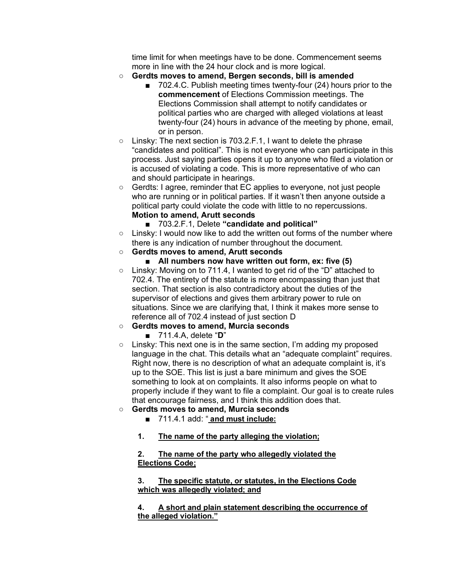time limit for when meetings have to be done. Commencement seems more in line with the 24 hour clock and is more logical.

- **Gerdts moves to amend, Bergen seconds, bill is amended**
	- 702.4.C. Publish meeting times twenty-four (24) hours prior to the **commencement** of Elections Commission meetings. The Elections Commission shall attempt to notify candidates or political parties who are charged with alleged violations at least twenty-four (24) hours in advance of the meeting by phone, email, or in person.
- Linsky: The next section is 703.2.F.1, I want to delete the phrase "candidates and political". This is not everyone who can participate in this process. Just saying parties opens it up to anyone who filed a violation or is accused of violating a code. This is more representative of who can and should participate in hearings.
- Gerdts: I agree, reminder that EC applies to everyone, not just people who are running or in political parties. If it wasn't then anyone outside a political party could violate the code with little to no repercussions. **Motion to amend, Arutt seconds**
	- 703.2.F.1, Delete "candidate and political"
- Linsky: I would now like to add the written out forms of the number where there is any indication of number throughout the document.

#### ○ **Gerdts moves to amend, Arutt seconds**

- All numbers now have written out form, ex: five (5)
- $\circ$  Linsky: Moving on to 711.4, I wanted to get rid of the "D" attached to 702.4. The entirety of the statute is more encompassing than just that section. That section is also contradictory about the duties of the supervisor of elections and gives them arbitrary power to rule on situations. Since we are clarifying that, I think it makes more sense to reference all of 702.4 instead of just section D

#### ○ **Gerdts moves to amend, Murcia seconds**

■ 711.4.A, delete "**D**"

○ Linsky: This next one is in the same section, I'm adding my proposed language in the chat. This details what an "adequate complaint" requires. Right now, there is no description of what an adequate complaint is, it's up to the SOE. This list is just a bare minimum and gives the SOE something to look at on complaints. It also informs people on what to properly include if they want to file a complaint. Our goal is to create rules that encourage fairness, and I think this addition does that.

# ○ **Gerdts moves to amend, Murcia seconds**

- 711.4.1 add: " **and must include:**
- **1. The name of the party alleging the violation;**

#### **2. The name of the party who allegedly violated the Elections Code;**

#### **3. The specific statute, or statutes, in the Elections Code which was allegedly violated; and**

**4. A short and plain statement describing the occurrence of the alleged violation."**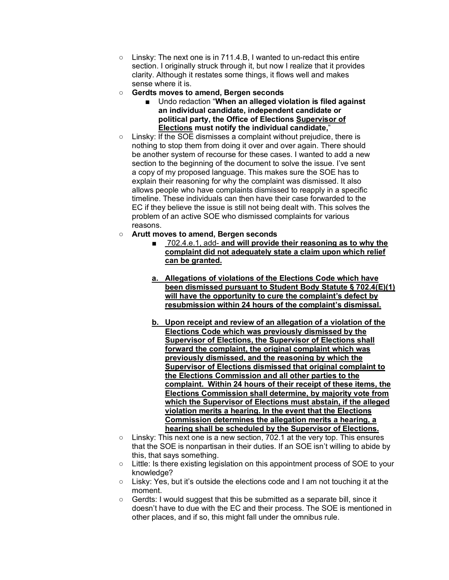- Linsky: The next one is in 711.4.B, I wanted to un-redact this entire section. I originally struck through it, but now I realize that it provides clarity. Although it restates some things, it flows well and makes sense where it is.
- **Gerdts moves to amend, Bergen seconds**
	- Undo redaction "**When an alleged violation is filed against an individual candidate, independent candidate or political party, the Office of Elections Supervisor of Elections must notify the individual candidate,**"
- Linsky: If the SOE dismisses a complaint without prejudice, there is nothing to stop them from doing it over and over again. There should be another system of recourse for these cases. I wanted to add a new section to the beginning of the document to solve the issue. I've sent a copy of my proposed language. This makes sure the SOE has to explain their reasoning for why the complaint was dismissed. It also allows people who have complaints dismissed to reapply in a specific timeline. These individuals can then have their case forwarded to the EC if they believe the issue is still not being dealt with. This solves the problem of an active SOE who dismissed complaints for various reasons.
- **Arutt moves to amend, Bergen seconds**
	- 702.4.e.1, add- **and will provide their reasoning as to why the complaint did not adequately state a claim upon which relief can be granted.**
	- **a. Allegations of violations of the Elections Code which have been dismissed pursuant to Student Body Statute § 702.4(E)(1) will have the opportunity to cure the complaint's defect by resubmission within 24 hours of the complaint's dismissal.**
	- **b. Upon receipt and review of an allegation of a violation of the Elections Code which was previously dismissed by the Supervisor of Elections, the Supervisor of Elections shall forward the complaint, the original complaint which was previously dismissed, and the reasoning by which the Supervisor of Elections dismissed that original complaint to the Elections Commission and all other parties to the complaint. Within 24 hours of their receipt of these items, the Elections Commission shall determine, by majority vote from which the Supervisor of Elections must abstain, if the alleged violation merits a hearing. In the event that the Elections Commission determines the allegation merits a hearing, a hearing shall be scheduled by the Supervisor of Elections.**
- $\circ$  Linsky: This next one is a new section, 702.1 at the very top. This ensures that the SOE is nonpartisan in their duties. If an SOE isn't willing to abide by this, that says something.
- Little: Is there existing legislation on this appointment process of SOE to your knowledge?
- Lisky: Yes, but it's outside the elections code and I am not touching it at the moment.
- Gerdts: I would suggest that this be submitted as a separate bill, since it doesn't have to due with the EC and their process. The SOE is mentioned in other places, and if so, this might fall under the omnibus rule.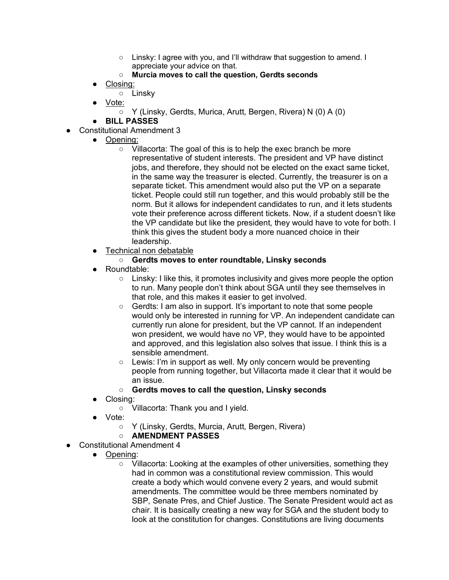- Linsky: I agree with you, and I'll withdraw that suggestion to amend. I appreciate your advice on that.
- **Murcia moves to call the question, Gerdts seconds**
- Closing:
	- Linsky
- Vote:
	- Y (Linsky, Gerdts, Murica, Arutt, Bergen, Rivera) N (0) A (0)
- **BILL PASSES**
- **Constitutional Amendment 3** 
	- Opening:
		- Villacorta: The goal of this is to help the exec branch be more representative of student interests. The president and VP have distinct jobs, and therefore, they should not be elected on the exact same ticket, in the same way the treasurer is elected. Currently, the treasurer is on a separate ticket. This amendment would also put the VP on a separate ticket. People could still run together, and this would probably still be the norm. But it allows for independent candidates to run, and it lets students vote their preference across different tickets. Now, if a student doesn't like the VP candidate but like the president, they would have to vote for both. I think this gives the student body a more nuanced choice in their leadership.
	- Technical non debatable
		- **Gerdts moves to enter roundtable, Linsky seconds**
	- Roundtable:
		- $\circ$  Linsky: I like this, it promotes inclusivity and gives more people the option to run. Many people don't think about SGA until they see themselves in that role, and this makes it easier to get involved.
		- Gerdts: I am also in support. It's important to note that some people would only be interested in running for VP. An independent candidate can currently run alone for president, but the VP cannot. If an independent won president, we would have no VP, they would have to be appointed and approved, and this legislation also solves that issue. I think this is a sensible amendment.
		- Lewis: I'm in support as well. My only concern would be preventing people from running together, but Villacorta made it clear that it would be an issue.

# ○ **Gerdts moves to call the question, Linsky seconds**

- Closing:
	- Villacorta: Thank you and I yield.
- Vote:
	- Y (Linsky, Gerdts, Murcia, Arutt, Bergen, Rivera)

# ○ **AMENDMENT PASSES**

- Constitutional Amendment 4
	- Opening:
		- Villacorta: Looking at the examples of other universities, something they had in common was a constitutional review commission. This would create a body which would convene every 2 years, and would submit amendments. The committee would be three members nominated by SBP, Senate Pres, and Chief Justice. The Senate President would act as chair. It is basically creating a new way for SGA and the student body to look at the constitution for changes. Constitutions are living documents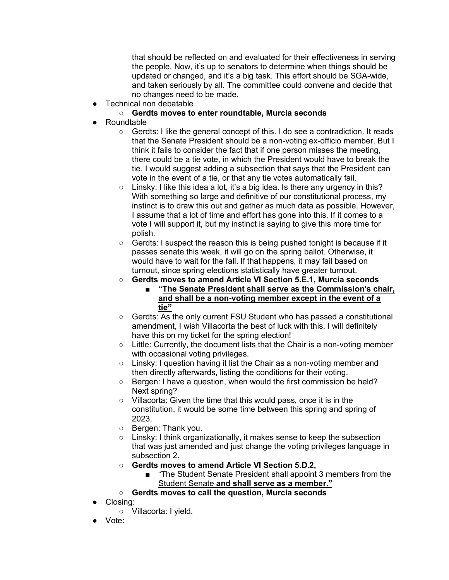that should be reflected on and evaluated for their effectiveness in serving the people. Now, it's up to senators to determine when things should be updated or changed, and it's a big task. This effort should be SGA-wide, and taken seriously by all. The committee could convene and decide that no changes need to be made.

● Technical non debatable

# ○ **Gerdts moves to enter roundtable, Murcia seconds**

- **Roundtable** 
	- Gerdts: I like the general concept of this. I do see a contradiction. It reads that the Senate President should be a non-voting ex-officio member. But I think it fails to consider the fact that if one person misses the meeting, there could be a tie vote, in which the President would have to break the tie. I would suggest adding a subsection that says that the President can vote in the event of a tie, or that any tie votes automatically fail.
	- Linsky: I like this idea a lot, it's a big idea. Is there any urgency in this? With something so large and definitive of our constitutional process, my instinct is to draw this out and gather as much data as possible. However, I assume that a lot of time and effort has gone into this. If it comes to a vote I will support it, but my instinct is saying to give this more time for polish.
	- Gerdts: I suspect the reason this is being pushed tonight is because if it passes senate this week, it will go on the spring ballot. Otherwise, it would have to wait for the fall. If that happens, it may fail based on turnout, since spring elections statistically have greater turnout.
	- **Gerdts moves to amend Article VI Section 5.E.1, Murcia seconds**
		- **"The Senate President shall serve as the Commission's chair, and shall be a non-voting member except in the event of a tie"**
	- Gerdts: As the only current FSU Student who has passed a constitutional amendment, I wish Villacorta the best of luck with this. I will definitely have this on my ticket for the spring election!
	- Little: Currently, the document lists that the Chair is a non-voting member with occasional voting privileges.
	- Linsky: I question having it list the Chair as a non-voting member and then directly afterwards, listing the conditions for their voting.
	- Bergen: I have a question, when would the first commission be held? Next spring?
	- Villacorta: Given the time that this would pass, once it is in the constitution, it would be some time between this spring and spring of 2023.
	- Bergen: Thank you.
	- Linsky: I think organizationally, it makes sense to keep the subsection that was just amended and just change the voting privileges language in subsection 2.
	- **Gerdts moves to amend Article VI Section 5.D.2,** 
		- "The Student Senate President shall appoint 3 members from the Student Senate **and shall serve as a member."**
	- **Gerdts moves to call the question, Murcia seconds**
- Closing:
	- Villacorta: I yield.
- Vote: